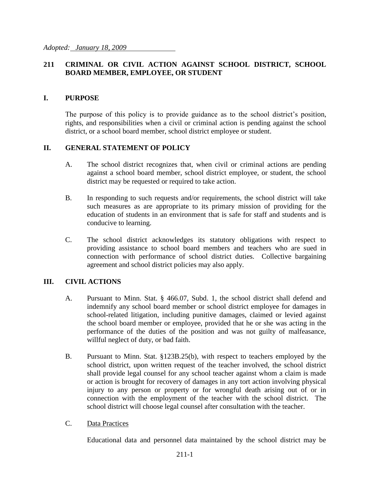#### **211 CRIMINAL OR CIVIL ACTION AGAINST SCHOOL DISTRICT, SCHOOL BOARD MEMBER, EMPLOYEE, OR STUDENT**

#### **I. PURPOSE**

The purpose of this policy is to provide guidance as to the school district's position, rights, and responsibilities when a civil or criminal action is pending against the school district, or a school board member, school district employee or student.

#### **II. GENERAL STATEMENT OF POLICY**

- A. The school district recognizes that, when civil or criminal actions are pending against a school board member, school district employee, or student, the school district may be requested or required to take action.
- B. In responding to such requests and/or requirements, the school district will take such measures as are appropriate to its primary mission of providing for the education of students in an environment that is safe for staff and students and is conducive to learning.
- C. The school district acknowledges its statutory obligations with respect to providing assistance to school board members and teachers who are sued in connection with performance of school district duties. Collective bargaining agreement and school district policies may also apply.

#### **III. CIVIL ACTIONS**

- A. Pursuant to Minn. Stat. § 466.07, Subd. 1, the school district shall defend and indemnify any school board member or school district employee for damages in school-related litigation, including punitive damages, claimed or levied against the school board member or employee, provided that he or she was acting in the performance of the duties of the position and was not guilty of malfeasance, willful neglect of duty, or bad faith.
- B. Pursuant to Minn. Stat. §123B.25(b), with respect to teachers employed by the school district, upon written request of the teacher involved, the school district shall provide legal counsel for any school teacher against whom a claim is made or action is brought for recovery of damages in any tort action involving physical injury to any person or property or for wrongful death arising out of or in connection with the employment of the teacher with the school district. The school district will choose legal counsel after consultation with the teacher.
- C. Data Practices

Educational data and personnel data maintained by the school district may be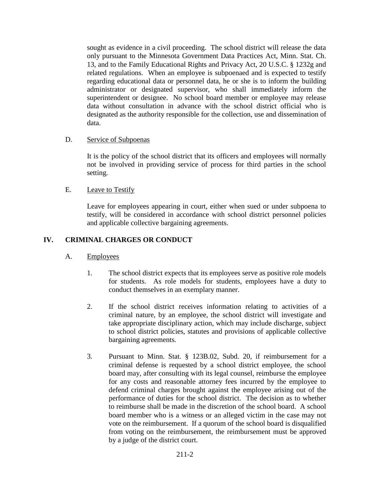sought as evidence in a civil proceeding. The school district will release the data only pursuant to the Minnesota Government Data Practices Act, Minn. Stat. Ch. 13, and to the Family Educational Rights and Privacy Act, 20 U.S.C. § 1232g and related regulations. When an employee is subpoenaed and is expected to testify regarding educational data or personnel data, he or she is to inform the building administrator or designated supervisor, who shall immediately inform the superintendent or designee. No school board member or employee may release data without consultation in advance with the school district official who is designated as the authority responsible for the collection, use and dissemination of data.

#### D. Service of Subpoenas

It is the policy of the school district that its officers and employees will normally not be involved in providing service of process for third parties in the school setting.

#### E. Leave to Testify

Leave for employees appearing in court, either when sued or under subpoena to testify, will be considered in accordance with school district personnel policies and applicable collective bargaining agreements.

## **IV. CRIMINAL CHARGES OR CONDUCT**

## A. Employees

- 1. The school district expects that its employees serve as positive role models for students. As role models for students, employees have a duty to conduct themselves in an exemplary manner.
- 2. If the school district receives information relating to activities of a criminal nature, by an employee, the school district will investigate and take appropriate disciplinary action, which may include discharge, subject to school district policies, statutes and provisions of applicable collective bargaining agreements.
- 3. Pursuant to Minn. Stat. § 123B.02, Subd. 20, if reimbursement for a criminal defense is requested by a school district employee, the school board may, after consulting with its legal counsel, reimburse the employee for any costs and reasonable attorney fees incurred by the employee to defend criminal charges brought against the employee arising out of the performance of duties for the school district. The decision as to whether to reimburse shall be made in the discretion of the school board. A school board member who is a witness or an alleged victim in the case may not vote on the reimbursement. If a quorum of the school board is disqualified from voting on the reimbursement, the reimbursement must be approved by a judge of the district court.